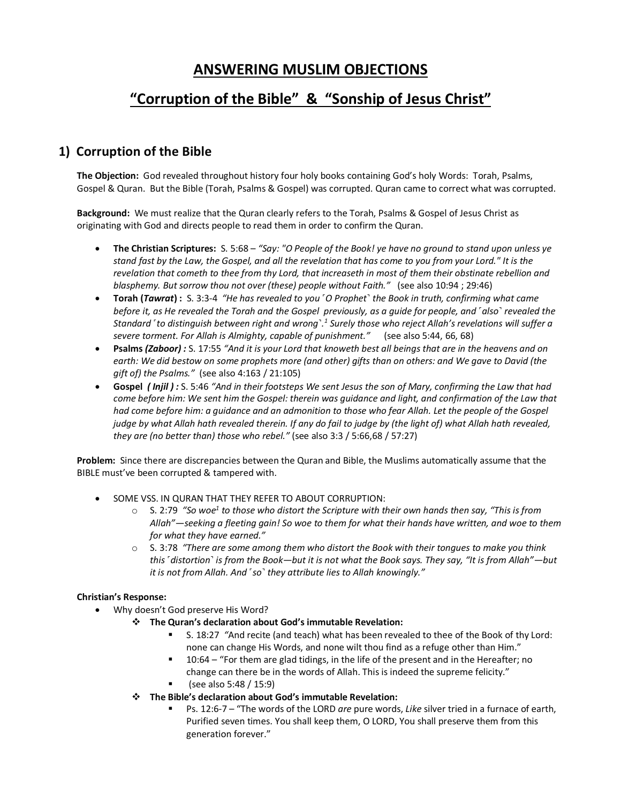### **ANSWERING MUSLIM OBJECTIONS**

# **"Corruption of the Bible" & "Sonship of Jesus Christ"**

### **1) Corruption of the Bible**

**The Objection:** God revealed throughout history four holy books containing God's holy Words: Torah, Psalms, Gospel & Quran. But the Bible (Torah, Psalms & Gospel) was corrupted. Quran came to correct what was corrupted.

**Background:** We must realize that the Quran clearly refers to the Torah, Psalms & Gospel of Jesus Christ as originating with God and directs people to read them in order to confirm the Quran.

- **The Christian Scriptures:** S. 5:68 *"Say: "O People of the Book! ye have no ground to stand upon unless ye stand fast by the Law, the Gospel, and all the revelation that has come to you from your Lord." It is the revelation that cometh to thee from thy Lord, that increaseth in most of them their obstinate rebellion and blasphemy. But sorrow thou not over (these) people without Faith."* (see also 10:94 ; 29:46)
- **Torah (***Tawrat***) :** S. 3:3-4 *"He has revealed to you ˹O Prophet˺ the Book in truth, confirming what came before it, as He revealed the Torah and the Gospel previously, as a guide for people, and ˹also˺ revealed the Standard ˹to distinguish between right and wrong˺.1 Surely those who reject Allah's revelations will suffer a severe torment. For Allah is Almighty, capable of punishment."* (see also 5:44, 66, 68)
- **Psalms** *(Zaboor) :* S. 17:55 *"And it is your Lord that knoweth best all beings that are in the heavens and on earth: We did bestow on some prophets more (and other) gifts than on others: and We gave to David (the gift of) the Psalms."* (see also 4:163 / 21:105)
- **Gospel** *( Injil ) :* S. 5:46 *"And in their footsteps We sent Jesus the son of Mary, confirming the Law that had come before him: We sent him the Gospel: therein was guidance and light, and confirmation of the Law that*  had come before him: a guidance and an admonition to those who fear Allah. Let the people of the Gospel *judge by what Allah hath revealed therein. If any do fail to judge by (the light of) what Allah hath revealed, they are (no better than) those who rebel."* (see also 3:3 / 5:66,68 / 57:27)

**Problem:** Since there are discrepancies between the Quran and Bible, the Muslims automatically assume that the BIBLE must've been corrupted & tampered with.

- SOME VSS. IN QURAN THAT THEY REFER TO ABOUT CORRUPTION:
	- o S. 2:79 *"So woe1 to those who distort the Scripture with their own hands then say, "This is from Allah"—seeking a fleeting gain! So woe to them for what their hands have written, and woe to them for what they have earned."*
	- o S. 3:78 *"There are some among them who distort the Book with their tongues to make you think this ˹distortion˺ is from the Book—but it is not what the Book says. They say, "It is from Allah"—but it is not from Allah. And ˹so˺ they attribute lies to Allah knowingly."*

### **Christian's Response:**

- Why doesn't God preserve His Word?
	- $\div$  The Quran's declaration about God's immutable Revelation:
		- § S. 18:27 *"*And recite (and teach) what has been revealed to thee of the Book of thy Lord: none can change His Words, and none wilt thou find as a refuge other than Him."
		- 10:64 "For them are glad tidings, in the life of the present and in the Hereafter; no change can there be in the words of Allah. This is indeed the supreme felicity."
		- § (see also 5:48 / 15:9)
	- v **The Bible's declaration about God's immutable Revelation:** 
		- § Ps. 12:6-7 "The words of the LORD *are* pure words, *Like* silver tried in a furnace of earth, Purified seven times. You shall keep them, O LORD, You shall preserve them from this generation forever."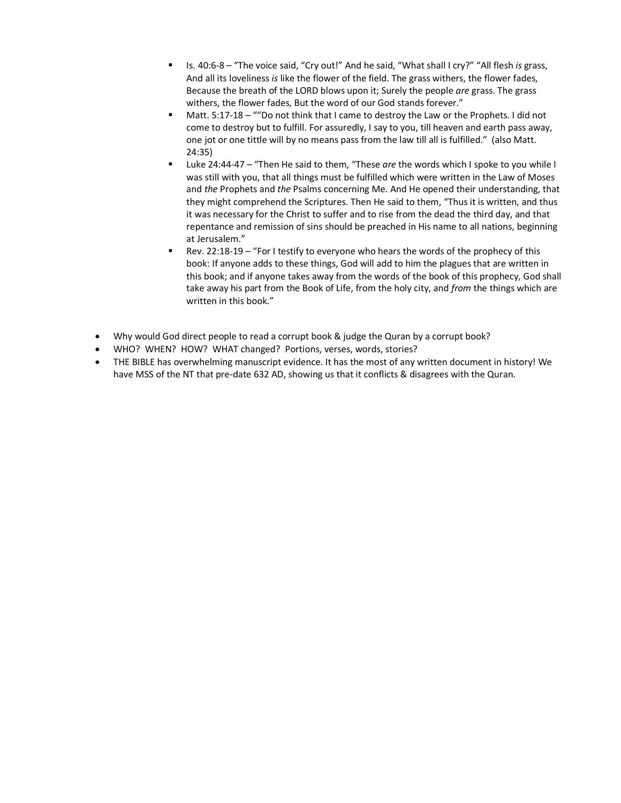- § Is. 40:6-8 "The voice said, "Cry out!" And he said, "What shall I cry?" "All flesh *is* grass, And all its loveliness *is* like the flower of the field. The grass withers, the flower fades, Because the breath of the LORD blows upon it; Surely the people *are* grass. The grass withers, the flower fades, But the word of our God stands forever."
- § Matt. 5:17-18 ""Do not think that I came to destroy the Law or the Prophets. I did not come to destroy but to fulfill. For assuredly, I say to you, till heaven and earth pass away, one jot or one tittle will by no means pass from the law till all is fulfilled." (also Matt. 24:35)
- § Luke 24:44-47 "Then He said to them, "These *are* the words which I spoke to you while I was still with you, that all things must be fulfilled which were written in the Law of Moses and *the* Prophets and *the* Psalms concerning Me. And He opened their understanding, that they might comprehend the Scriptures. Then He said to them, "Thus it is written, and thus it was necessary for the Christ to suffer and to rise from the dead the third day, and that repentance and remission of sins should be preached in His name to all nations, beginning at Jerusalem."
- § Rev. 22:18-19 "For I testify to everyone who hears the words of the prophecy of this book: If anyone adds to these things, God will add to him the plagues that are written in this book; and if anyone takes away from the words of the book of this prophecy, God shall take away his part from the Book of Life, from the holy city, and *from* the things which are written in this book."
- Why would God direct people to read a corrupt book & judge the Quran by a corrupt book?
- WHO? WHEN? HOW? WHAT changed? Portions, verses, words, stories?
- THE BIBLE has overwhelming manuscript evidence. It has the most of any written document in history! We have MSS of the NT that pre-date 632 AD, showing us that it conflicts & disagrees with the Quran.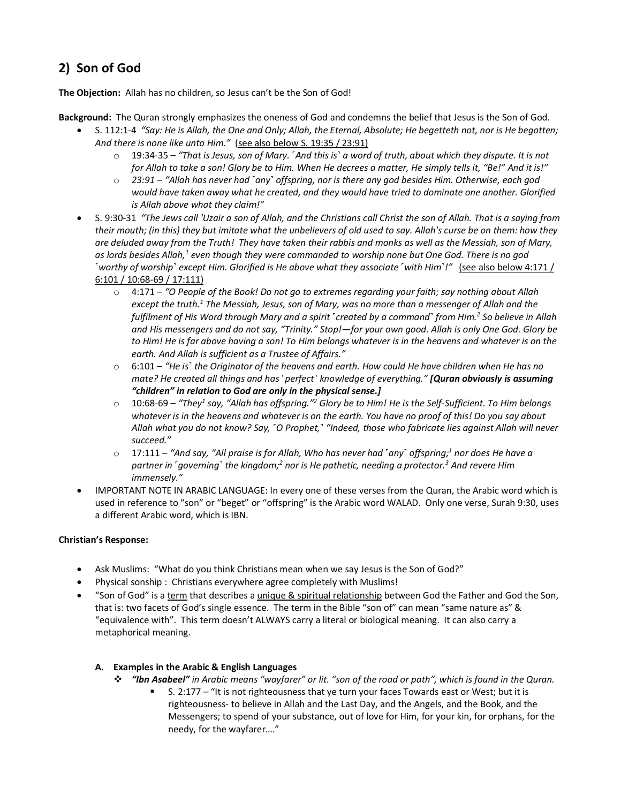## **2) Son of God**

**The Objection:** Allah has no children, so Jesus can't be the Son of God!

**Background:** The Quran strongly emphasizes the oneness of God and condemns the belief that Jesus is the Son of God.

- S. 112:1-4 *"Say: He is Allah, the One and Only; Allah, the Eternal, Absolute; He begetteth not, nor is He begotten; And there is none like unto Him."* (see also below S. 19:35 / 23:91)
	- o 19:34-35 *"That is Jesus, son of Mary. ˹And this is˺ a word of truth, about which they dispute. It is not for Allah to take a son! Glory be to Him. When He decrees a matter, He simply tells it, "Be!" And it is!"*
	- o *23:91 – "Allah has never had ˹any˺ offspring, nor is there any god besides Him. Otherwise, each god would have taken away what he created, and they would have tried to dominate one another. Glorified is Allah above what they claim!"*
- S. 9:30-31 *"The Jews call 'Uzair a son of Allah, and the Christians call Christ the son of Allah. That is a saying from their mouth; (in this) they but imitate what the unbelievers of old used to say. Allah's curse be on them: how they are deluded away from the Truth! They have taken their rabbis and monks as well as the Messiah, son of Mary, as lords besides Allah,1 even though they were commanded to worship none but One God. There is no god ˹worthy of worship˺ except Him. Glorified is He above what they associate ˹with Him˺!"* (see also below 4:171 / 6:101 / 10:68-69 / 17:111)
	- o 4:171 *"O People of the Book! Do not go to extremes regarding your faith; say nothing about Allah except the truth.1 The Messiah, Jesus, son of Mary, was no more than a messenger of Allah and the fulfilment of His Word through Mary and a spirit ˹created by a command˺ from Him.2 So believe in Allah and His messengers and do not say, "Trinity." Stop!—for your own good. Allah is only One God. Glory be to Him! He is far above having a son! To Him belongs whatever is in the heavens and whatever is on the earth. And Allah is sufficient as a Trustee of Affairs."*
	- o 6:101 *"He is˺ the Originator of the heavens and earth. How could He have children when He has no mate? He created all things and has ˹perfect˺ knowledge of everything." [Quran obviously is assuming "children" in relation to God are only in the physical sense.]*
	- o 10:68-69 *"They1 say, "Allah has offspring."2 Glory be to Him! He is the Self-Sufficient. To Him belongs whatever is in the heavens and whatever is on the earth. You have no proof of this! Do you say about Allah what you do not know? Say, ˹O Prophet,˺ "Indeed, those who fabricate lies against Allah will never succeed."*
	- o 17:111 *"And say, "All praise is for Allah, Who has never had ˹any˺ offspring;1 nor does He have a partner in ˹governing˺ the kingdom;2 nor is He pathetic, needing a protector.3 And revere Him immensely."*
- IMPORTANT NOTE IN ARABIC LANGUAGE: In every one of these verses from the Quran, the Arabic word which is used in reference to "son" or "beget" or "offspring" is the Arabic word WALAD. Only one verse, Surah 9:30, uses a different Arabic word, which is IBN.

### **Christian's Response:**

- Ask Muslims: "What do you think Christians mean when we say Jesus is the Son of God?"
- Physical sonship : Christians everywhere agree completely with Muslims!
- "Son of God" is a term that describes a unique & spiritual relationship between God the Father and God the Son, that is: two facets of God's single essence. The term in the Bible "son of" can mean "same nature as" & "equivalence with". This term doesn't ALWAYS carry a literal or biological meaning. It can also carry a metaphorical meaning.

### **A. Examples in the Arabic & English Languages**

- v *"Ibn Asabeel" in Arabic means "wayfarer" or lit. "son of the road or path", which is found in the Quran.*
	- § S. 2:177 "It is not righteousness that ye turn your faces Towards east or West; but it is righteousness- to believe in Allah and the Last Day, and the Angels, and the Book, and the Messengers; to spend of your substance, out of love for Him, for your kin, for orphans, for the needy, for the wayfarer…."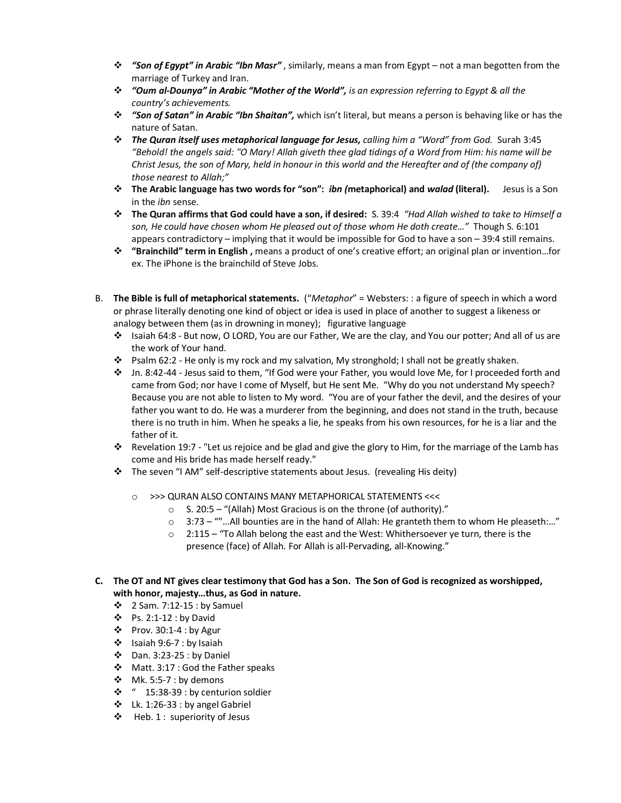- v *"Son of Egypt" in Arabic "Ibn Masr"* , similarly, means a man from Egypt not a man begotten from the marriage of Turkey and Iran.
- v *"Oum al-Dounya" in Arabic "Mother of the World", is an expression referring to Egypt & all the country's achievements.*
- v *"Son of Satan" in Arabic "Ibn Shaitan",* which isn't literal, but means a person is behaving like or has the nature of Satan.
- v *The Quran itself uses metaphorical language for Jesus, calling him a "Word" from God.* Surah 3:45 *"Behold! the angels said: "O Mary! Allah giveth thee glad tidings of a Word from Him: his name will be Christ Jesus, the son of Mary, held in honour in this world and the Hereafter and of (the company of) those nearest to Allah;"*
- v **The Arabic language has two words for "son":** *ibn (***metaphorical) and** *walad* **(literal).** Jesus is a Son in the *ibn* sense.
- v **The Quran affirms that God could have a son, if desired:** S. 39:4 *"Had Allah wished to take to Himself a son, He could have chosen whom He pleased out of those whom He doth create…"* Though S. 6:101 appears contradictory – implying that it would be impossible for God to have a son – 39:4 still remains.
- v **"Brainchild" term in English ,** means a product of one's creative effort; an original plan or invention…for ex. The iPhone is the brainchild of Steve Jobs.
- B. **The Bible is full of metaphorical statements.** ("*Metaphor*" = Websters: : a figure of speech in which a word or phrase literally denoting one kind of object or idea is used in place of another to suggest a likeness or analogy between them (as in drowning in money); figurative language
	- v Isaiah 64:8 But now, O LORD, You are our Father, We are the clay, and You our potter; And all of us are the work of Your hand.
	- $\cdot \cdot$  Psalm 62:2 He only is my rock and my salvation, My stronghold; I shall not be greatly shaken.
	- v Jn. 8:42-44 Jesus said to them, "If God were your Father, you would love Me, for I proceeded forth and came from God; nor have I come of Myself, but He sent Me. "Why do you not understand My speech? Because you are not able to listen to My word. "You are of your father the devil, and the desires of your father you want to do. He was a murderer from the beginning, and does not stand in the truth, because there is no truth in him. When he speaks a lie, he speaks from his own resources, for he is a liar and the father of it.
	- v Revelation 19:7 "Let us rejoice and be glad and give the glory to Him, for the marriage of the Lamb has come and His bride has made herself ready."
	- \* The seven "I AM" self-descriptive statements about Jesus. (revealing His deity)
		- o >>> QURAN ALSO CONTAINS MANY METAPHORICAL STATEMENTS <<<
			- o S. 20:5 "(Allah) Most Gracious is on the throne (of authority)."
			- $\circ$  3:73 ""...All bounties are in the hand of Allah: He granteth them to whom He pleaseth:..."
			- o 2:115 "To Allah belong the east and the West: Whithersoever ye turn, there is the presence (face) of Allah. For Allah is all-Pervading, all-Knowing."

#### **C. The OT and NT gives clear testimony that God has a Son. The Son of God is recognized as worshipped, with honor, majesty…thus, as God in nature.**

- $\div$  2 Sam. 7:12-15 : by Samuel
- $\bullet$  Ps. 2:1-12 : by David
- $\div$  Prov. 30:1-4 : by Agur
- $\cdot \cdot$  Isaiah 9:6-7 : by Isaiah
- $\cdot \cdot$  Dan. 3:23-25 : by Daniel
- v Matt. 3:17 : God the Father speaks
- $\cdot \cdot$  Mk. 5:5-7 : by demons
- $\cdot \cdot$  " 15:38-39 : by centurion soldier
- $\cdot \cdot$  Lk. 1:26-33 : by angel Gabriel
- $\div$  Heb. 1 : superiority of Jesus